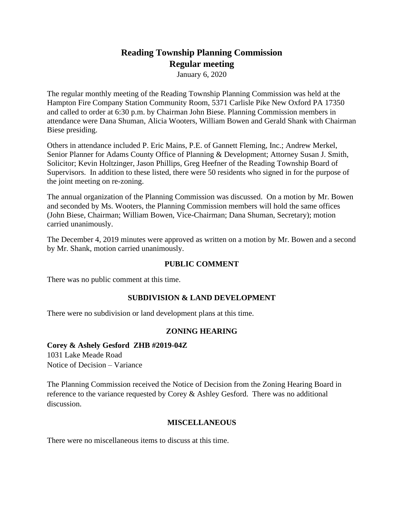# **Reading Township Planning Commission Regular meeting**

January 6, 2020

The regular monthly meeting of the Reading Township Planning Commission was held at the Hampton Fire Company Station Community Room, 5371 Carlisle Pike New Oxford PA 17350 and called to order at 6:30 p.m. by Chairman John Biese. Planning Commission members in attendance were Dana Shuman, Alicia Wooters, William Bowen and Gerald Shank with Chairman Biese presiding.

Others in attendance included P. Eric Mains, P.E. of Gannett Fleming, Inc.; Andrew Merkel, Senior Planner for Adams County Office of Planning & Development; Attorney Susan J. Smith, Solicitor; Kevin Holtzinger, Jason Phillips, Greg Heefner of the Reading Township Board of Supervisors. In addition to these listed, there were 50 residents who signed in for the purpose of the joint meeting on re-zoning.

The annual organization of the Planning Commission was discussed. On a motion by Mr. Bowen and seconded by Ms. Wooters, the Planning Commission members will hold the same offices (John Biese, Chairman; William Bowen, Vice-Chairman; Dana Shuman, Secretary); motion carried unanimously.

The December 4, 2019 minutes were approved as written on a motion by Mr. Bowen and a second by Mr. Shank, motion carried unanimously.

## **PUBLIC COMMENT**

There was no public comment at this time.

#### **SUBDIVISION & LAND DEVELOPMENT**

There were no subdivision or land development plans at this time.

#### **ZONING HEARING**

## **Corey & Ashely Gesford ZHB #2019-04Z**

1031 Lake Meade Road Notice of Decision – Variance

The Planning Commission received the Notice of Decision from the Zoning Hearing Board in reference to the variance requested by Corey & Ashley Gesford. There was no additional discussion.

#### **MISCELLANEOUS**

There were no miscellaneous items to discuss at this time.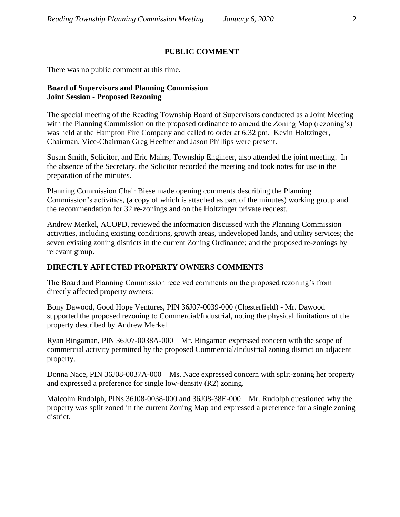### **PUBLIC COMMENT**

There was no public comment at this time.

#### **Board of Supervisors and Planning Commission Joint Session - Proposed Rezoning**

The special meeting of the Reading Township Board of Supervisors conducted as a Joint Meeting with the Planning Commission on the proposed ordinance to amend the Zoning Map (rezoning's) was held at the Hampton Fire Company and called to order at 6:32 pm. Kevin Holtzinger, Chairman, Vice-Chairman Greg Heefner and Jason Phillips were present.

Susan Smith, Solicitor, and Eric Mains, Township Engineer, also attended the joint meeting. In the absence of the Secretary, the Solicitor recorded the meeting and took notes for use in the preparation of the minutes.

Planning Commission Chair Biese made opening comments describing the Planning Commission's activities, (a copy of which is attached as part of the minutes) working group and the recommendation for 32 re-zonings and on the Holtzinger private request.

Andrew Merkel, ACOPD, reviewed the information discussed with the Planning Commission activities, including existing conditions, growth areas, undeveloped lands, and utility services; the seven existing zoning districts in the current Zoning Ordinance; and the proposed re-zonings by relevant group.

## **DIRECTLY AFFECTED PROPERTY OWNERS COMMENTS**

The Board and Planning Commission received comments on the proposed rezoning's from directly affected property owners:

Bony Dawood, Good Hope Ventures, PIN 36J07-0039-000 (Chesterfield) - Mr. Dawood supported the proposed rezoning to Commercial/Industrial, noting the physical limitations of the property described by Andrew Merkel.

Ryan Bingaman, PIN 36J07-0038A-000 – Mr. Bingaman expressed concern with the scope of commercial activity permitted by the proposed Commercial/Industrial zoning district on adjacent property.

Donna Nace, PIN 36J08-0037A-000 – Ms. Nace expressed concern with split-zoning her property and expressed a preference for single low-density (R2) zoning.

Malcolm Rudolph, PINs 36J08-0038-000 and 36J08-38E-000 – Mr. Rudolph questioned why the property was split zoned in the current Zoning Map and expressed a preference for a single zoning district.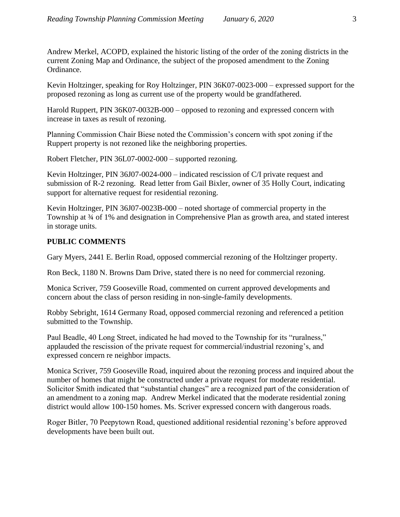Andrew Merkel, ACOPD, explained the historic listing of the order of the zoning districts in the current Zoning Map and Ordinance, the subject of the proposed amendment to the Zoning Ordinance.

Kevin Holtzinger, speaking for Roy Holtzinger, PIN 36K07-0023-000 – expressed support for the proposed rezoning as long as current use of the property would be grandfathered.

Harold Ruppert, PIN 36K07-0032B-000 – opposed to rezoning and expressed concern with increase in taxes as result of rezoning.

Planning Commission Chair Biese noted the Commission's concern with spot zoning if the Ruppert property is not rezoned like the neighboring properties.

Robert Fletcher, PIN 36L07-0002-000 – supported rezoning.

Kevin Holtzinger, PIN 36J07-0024-000 – indicated rescission of C/I private request and submission of R-2 rezoning. Read letter from Gail Bixler, owner of 35 Holly Court, indicating support for alternative request for residential rezoning.

Kevin Holtzinger, PIN 36J07-0023B-000 – noted shortage of commercial property in the Township at  $\frac{3}{4}$  of 1% and designation in Comprehensive Plan as growth area, and stated interest in storage units.

## **PUBLIC COMMENTS**

Gary Myers, 2441 E. Berlin Road, opposed commercial rezoning of the Holtzinger property.

Ron Beck, 1180 N. Browns Dam Drive, stated there is no need for commercial rezoning.

Monica Scriver, 759 Gooseville Road, commented on current approved developments and concern about the class of person residing in non-single-family developments.

Robby Sebright, 1614 Germany Road, opposed commercial rezoning and referenced a petition submitted to the Township.

Paul Beadle, 40 Long Street, indicated he had moved to the Township for its "ruralness," applauded the rescission of the private request for commercial/industrial rezoning's, and expressed concern re neighbor impacts.

Monica Scriver, 759 Gooseville Road, inquired about the rezoning process and inquired about the number of homes that might be constructed under a private request for moderate residential. Solicitor Smith indicated that "substantial changes" are a recognized part of the consideration of an amendment to a zoning map. Andrew Merkel indicated that the moderate residential zoning district would allow 100-150 homes. Ms. Scriver expressed concern with dangerous roads.

Roger Bitler, 70 Peepytown Road, questioned additional residential rezoning's before approved developments have been built out.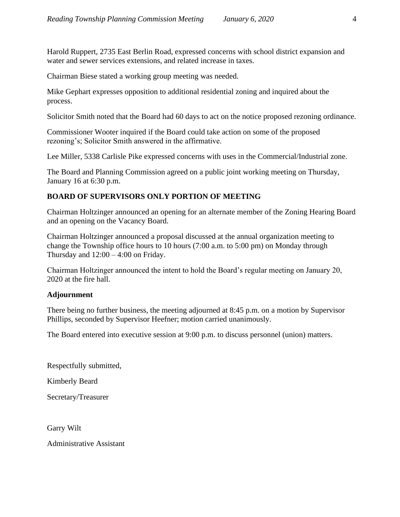Harold Ruppert, 2735 East Berlin Road, expressed concerns with school district expansion and water and sewer services extensions, and related increase in taxes.

Chairman Biese stated a working group meeting was needed.

Mike Gephart expresses opposition to additional residential zoning and inquired about the process.

Solicitor Smith noted that the Board had 60 days to act on the notice proposed rezoning ordinance.

Commissioner Wooter inquired if the Board could take action on some of the proposed rezoning's; Solicitor Smith answered in the affirmative.

Lee Miller, 5338 Carlisle Pike expressed concerns with uses in the Commercial/Industrial zone.

The Board and Planning Commission agreed on a public joint working meeting on Thursday, January 16 at 6:30 p.m.

## **BOARD OF SUPERVISORS ONLY PORTION OF MEETING**

Chairman Holtzinger announced an opening for an alternate member of the Zoning Hearing Board and an opening on the Vacancy Board.

Chairman Holtzinger announced a proposal discussed at the annual organization meeting to change the Township office hours to 10 hours (7:00 a.m. to 5:00 pm) on Monday through Thursday and  $12:00 - 4:00$  on Friday.

Chairman Holtzinger announced the intent to hold the Board's regular meeting on January 20, 2020 at the fire hall.

## **Adjournment**

There being no further business, the meeting adjourned at 8:45 p.m. on a motion by Supervisor Phillips, seconded by Supervisor Heefner; motion carried unanimously.

The Board entered into executive session at 9:00 p.m. to discuss personnel (union) matters.

Respectfully submitted,

Kimberly Beard

Secretary/Treasurer

Garry Wilt

Administrative Assistant